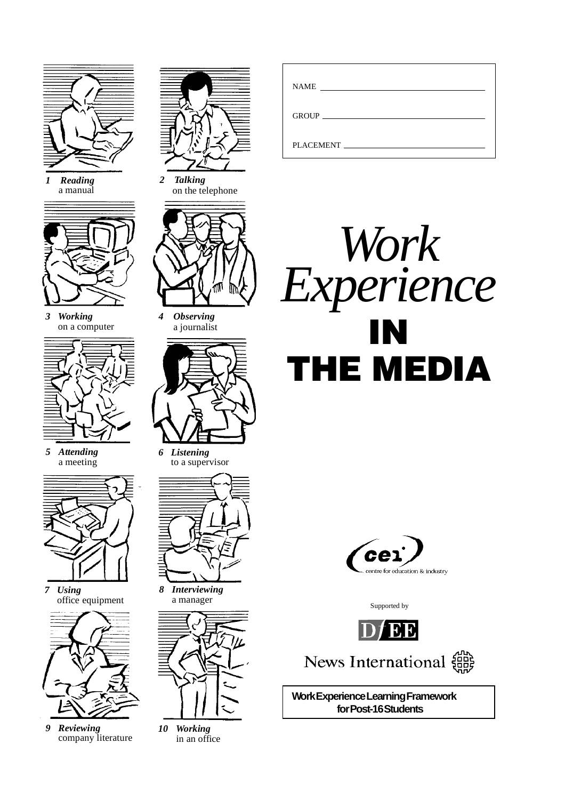

*1 Reading* a manual



*3 Working* on a computer



*5 Attending* a meeting



*7 Using* office equipment



*9 Reviewing* company literature



*2 Talking* on the telephone



*4 Observing* a journalist



*6 Listening* to a supervisor



*8 Interviewing* a manager



*10 Working* in an office

| <b>NAME</b><br><u> 1989 - Andrea Station Barbara (b. 1989)</u> |  |
|----------------------------------------------------------------|--|
|                                                                |  |
| GROUP <b>CONTRACTES</b>                                        |  |
|                                                                |  |
| PLACEMENT FILADE                                               |  |





Supported by



News International  $\left\{\begin{matrix} 60\\ 0\\ 10\end{matrix}\right\}$ 

**Work Experience Learning Framework for Post-16 Students**